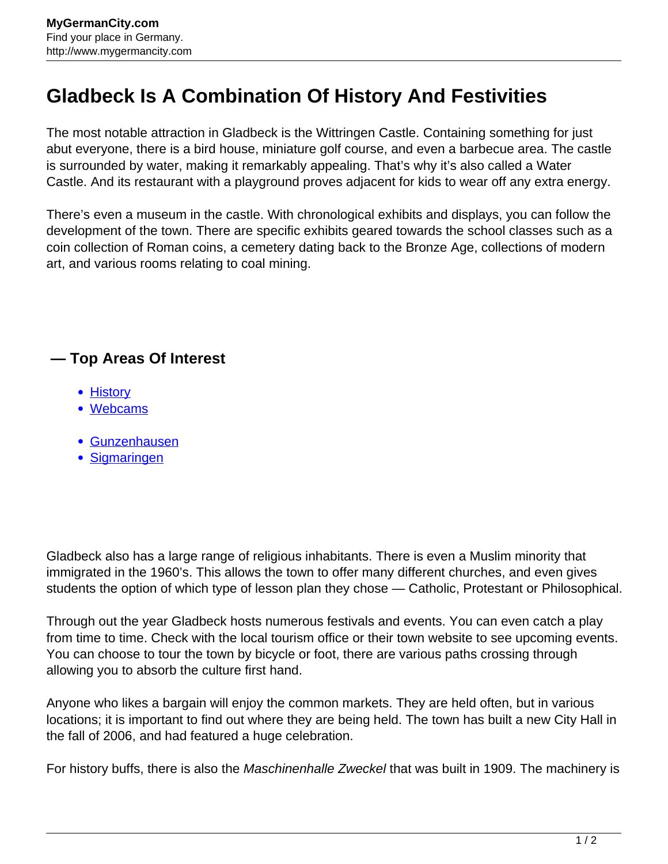## **Gladbeck Is A Combination Of History And Festivities**

The most notable attraction in Gladbeck is the Wittringen Castle. Containing something for just abut everyone, there is a bird house, miniature golf course, and even a barbecue area. The castle is surrounded by water, making it remarkably appealing. That's why it's also called a Water Castle. And its restaurant with a playground proves adjacent for kids to wear off any extra energy.

There's even a museum in the castle. With chronological exhibits and displays, you can follow the development of the town. There are specific exhibits geared towards the school classes such as a coin collection of Roman coins, a cemetery dating back to the Bronze Age, collections of modern art, and various rooms relating to coal mining.

## **— Top Areas Of Interest**

- [History](http://www.mygermancity.com/leipzig-history)
- [Webcams](http://www.mygermancity.com/neustadt-holstein-webcams)
- [Gunzenhausen](http://www.mygermancity.com/gunzenhausen)
- [Sigmaringen](http://www.mygermancity.com/sigmaringen)

Gladbeck also has a large range of religious inhabitants. There is even a Muslim minority that immigrated in the 1960's. This allows the town to offer many different churches, and even gives students the option of which type of lesson plan they chose — Catholic, Protestant or Philosophical.

Through out the year Gladbeck hosts numerous festivals and events. You can even catch a play from time to time. Check with the local tourism office or their town website to see upcoming events. You can choose to tour the town by bicycle or foot, there are various paths crossing through allowing you to absorb the culture first hand.

Anyone who likes a bargain will enjoy the common markets. They are held often, but in various locations; it is important to find out where they are being held. The town has built a new City Hall in the fall of 2006, and had featured a huge celebration.

For history buffs, there is also the *Maschinenhalle Zweckel* that was built in 1909. The machinery is